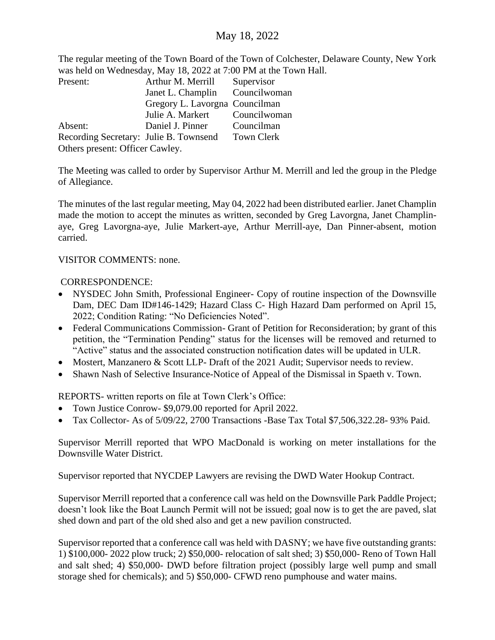## May 18, 2022

The regular meeting of the Town Board of the Town of Colchester, Delaware County, New York was held on Wednesday, May 18, 2022 at 7:00 PM at the Town Hall.

| Present:                               | Arthur M. Merrill              | Supervisor   |  |  |  |  |  |
|----------------------------------------|--------------------------------|--------------|--|--|--|--|--|
|                                        | Janet L. Champlin              | Councilwoman |  |  |  |  |  |
|                                        | Gregory L. Lavorgna Councilman |              |  |  |  |  |  |
|                                        | Julie A. Markert Councilwoman  |              |  |  |  |  |  |
| Absent:                                | Daniel J. Pinner               | Councilman   |  |  |  |  |  |
| Recording Secretary: Julie B. Townsend |                                | Town Clerk   |  |  |  |  |  |
| Others present: Officer Cawley.        |                                |              |  |  |  |  |  |

The Meeting was called to order by Supervisor Arthur M. Merrill and led the group in the Pledge of Allegiance.

The minutes of the last regular meeting, May 04, 2022 had been distributed earlier. Janet Champlin made the motion to accept the minutes as written, seconded by Greg Lavorgna, Janet Champlinaye, Greg Lavorgna-aye, Julie Markert-aye, Arthur Merrill-aye, Dan Pinner-absent, motion carried.

## VISITOR COMMENTS: none.

## CORRESPONDENCE:

- NYSDEC John Smith, Professional Engineer- Copy of routine inspection of the Downsville Dam, DEC Dam ID#146-1429; Hazard Class C- High Hazard Dam performed on April 15, 2022; Condition Rating: "No Deficiencies Noted".
- Federal Communications Commission- Grant of Petition for Reconsideration; by grant of this petition, the "Termination Pending" status for the licenses will be removed and returned to "Active" status and the associated construction notification dates will be updated in ULR.
- Mostert, Manzanero & Scott LLP- Draft of the 2021 Audit; Supervisor needs to review.
- Shawn Nash of Selective Insurance-Notice of Appeal of the Dismissal in Spaeth v. Town.

REPORTS- written reports on file at Town Clerk's Office:

- Town Justice Conrow- \$9,079.00 reported for April 2022.
- Tax Collector- As of 5/09/22, 2700 Transactions -Base Tax Total \$7,506,322.28- 93% Paid.

Supervisor Merrill reported that WPO MacDonald is working on meter installations for the Downsville Water District.

Supervisor reported that NYCDEP Lawyers are revising the DWD Water Hookup Contract.

Supervisor Merrill reported that a conference call was held on the Downsville Park Paddle Project; doesn't look like the Boat Launch Permit will not be issued; goal now is to get the are paved, slat shed down and part of the old shed also and get a new pavilion constructed.

Supervisor reported that a conference call was held with DASNY; we have five outstanding grants: 1) \$100,000- 2022 plow truck; 2) \$50,000- relocation of salt shed; 3) \$50,000- Reno of Town Hall and salt shed; 4) \$50,000- DWD before filtration project (possibly large well pump and small storage shed for chemicals); and 5) \$50,000- CFWD reno pumphouse and water mains.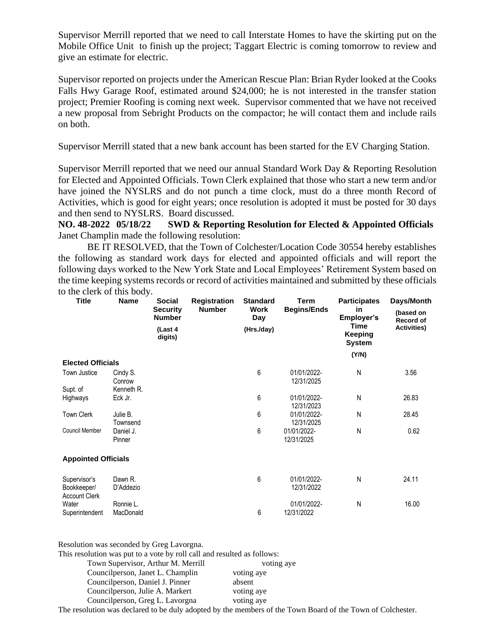Supervisor Merrill reported that we need to call Interstate Homes to have the skirting put on the Mobile Office Unit to finish up the project; Taggart Electric is coming tomorrow to review and give an estimate for electric.

Supervisor reported on projects under the American Rescue Plan: Brian Ryder looked at the Cooks Falls Hwy Garage Roof, estimated around \$24,000; he is not interested in the transfer station project; Premier Roofing is coming next week. Supervisor commented that we have not received a new proposal from Sebright Products on the compactor; he will contact them and include rails on both.

Supervisor Merrill stated that a new bank account has been started for the EV Charging Station.

Supervisor Merrill reported that we need our annual Standard Work Day & Reporting Resolution for Elected and Appointed Officials. Town Clerk explained that those who start a new term and/or have joined the NYSLRS and do not punch a time clock, must do a three month Record of Activities, which is good for eight years; once resolution is adopted it must be posted for 30 days and then send to NYSLRS. Board discussed.

**NO. 48-2022 05/18/22 SWD & Reporting Resolution for Elected & Appointed Officials** Janet Champlin made the following resolution:

BE IT RESOLVED, that the Town of Colchester/Location Code 30554 hereby establishes the following as standard work days for elected and appointed officials and will report the following days worked to the New York State and Local Employees' Retirement System based on the time keeping systems records or record of activities maintained and submitted by these officials to the clerk of this body.

| <b>Title</b>                        | <b>Name</b>          | <b>Social</b><br><b>Security</b><br><b>Number</b><br>(Last 4<br>digits) | <b>Registration</b><br><b>Number</b> | <b>Standard</b><br>Work<br>Day<br>(Hrs./day) | Term<br><b>Begins/Ends</b> | <b>Participates</b><br>in<br>Employer's<br>Time<br>Keeping<br><b>System</b> | Days/Month<br>(based on<br>Record of<br><b>Activities)</b> |                          |  |  |  |  |  |       |  |
|-------------------------------------|----------------------|-------------------------------------------------------------------------|--------------------------------------|----------------------------------------------|----------------------------|-----------------------------------------------------------------------------|------------------------------------------------------------|--------------------------|--|--|--|--|--|-------|--|
|                                     |                      |                                                                         |                                      |                                              |                            |                                                                             |                                                            |                          |  |  |  |  |  | (Y/N) |  |
|                                     |                      |                                                                         |                                      |                                              |                            |                                                                             |                                                            | <b>Elected Officials</b> |  |  |  |  |  |       |  |
| Town Justice                        | Cindy S.<br>Conrow   |                                                                         |                                      | 6                                            | 01/01/2022-<br>12/31/2025  | N                                                                           | 3.56                                                       |                          |  |  |  |  |  |       |  |
| Supt. of                            | Kenneth R.           |                                                                         |                                      |                                              |                            |                                                                             |                                                            |                          |  |  |  |  |  |       |  |
| Highways                            | Eck Jr.              |                                                                         |                                      | 6                                            | 01/01/2022-<br>12/31/2023  | N                                                                           | 26.83                                                      |                          |  |  |  |  |  |       |  |
| <b>Town Clerk</b>                   | Julie B.<br>Townsend |                                                                         |                                      | 6                                            | 01/01/2022-<br>12/31/2025  | Ν                                                                           | 28.45                                                      |                          |  |  |  |  |  |       |  |
| <b>Council Member</b>               | Daniel J.<br>Pinner  |                                                                         |                                      | 6                                            | 01/01/2022-<br>12/31/2025  | N                                                                           | 0.62                                                       |                          |  |  |  |  |  |       |  |
| <b>Appointed Officials</b>          |                      |                                                                         |                                      |                                              |                            |                                                                             |                                                            |                          |  |  |  |  |  |       |  |
| Supervisor's                        | Dawn R.<br>D'Addezio |                                                                         |                                      | 6                                            | 01/01/2022-<br>12/31/2022  | Ν                                                                           | 24.11                                                      |                          |  |  |  |  |  |       |  |
| Bookkeeper/<br><b>Account Clerk</b> |                      |                                                                         |                                      |                                              |                            |                                                                             |                                                            |                          |  |  |  |  |  |       |  |
| Water                               | Ronnie L.            |                                                                         |                                      |                                              | 01/01/2022-                | Ν                                                                           | 16.00                                                      |                          |  |  |  |  |  |       |  |
| Superintendent                      | MacDonald            |                                                                         |                                      | 6                                            | 12/31/2022                 |                                                                             |                                                            |                          |  |  |  |  |  |       |  |

Resolution was seconded by Greg Lavorgna.

This resolution was put to a vote by roll call and resulted as follows:

| Town Supervisor, Arthur M. Merrill | voting aye |  |
|------------------------------------|------------|--|
| Councilperson, Janet L. Champlin   | voting aye |  |
| Councilperson, Daniel J. Pinner    | absent     |  |
| Councilperson, Julie A. Markert    | voting aye |  |
| Councilperson, Greg L. Lavorgna    | voting aye |  |
|                                    |            |  |

The resolution was declared to be duly adopted by the members of the Town Board of the Town of Colchester.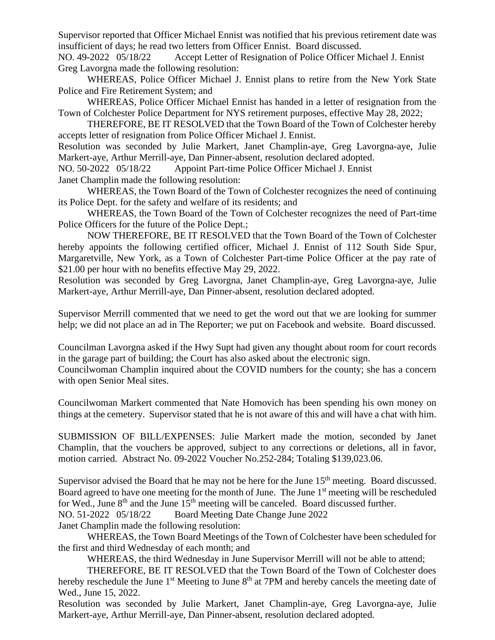Supervisor reported that Officer Michael Ennist was notified that his previous retirement date was insufficient of days; he read two letters from Officer Ennist. Board discussed.

NO. 49-2022 05/18/22 Accept Letter of Resignation of Police Officer Michael J. Ennist Greg Lavorgna made the following resolution:

WHEREAS, Police Officer Michael J. Ennist plans to retire from the New York State Police and Fire Retirement System; and

WHEREAS, Police Officer Michael Ennist has handed in a letter of resignation from the Town of Colchester Police Department for NYS retirement purposes, effective May 28, 2022;

THEREFORE, BE IT RESOLVED that the Town Board of the Town of Colchester hereby accepts letter of resignation from Police Officer Michael J. Ennist.

Resolution was seconded by Julie Markert, Janet Champlin-aye, Greg Lavorgna-aye, Julie Markert-aye, Arthur Merrill-aye, Dan Pinner-absent, resolution declared adopted.

NO. 50-2022 05/18/22 Appoint Part-time Police Officer Michael J. Ennist

Janet Champlin made the following resolution:

WHEREAS, the Town Board of the Town of Colchester recognizes the need of continuing its Police Dept. for the safety and welfare of its residents; and

WHEREAS, the Town Board of the Town of Colchester recognizes the need of Part-time Police Officers for the future of the Police Dept.;

NOW THEREFORE, BE IT RESOLVED that the Town Board of the Town of Colchester hereby appoints the following certified officer, Michael J. Ennist of 112 South Side Spur, Margaretville, New York, as a Town of Colchester Part-time Police Officer at the pay rate of \$21.00 per hour with no benefits effective May 29, 2022.

Resolution was seconded by Greg Lavorgna, Janet Champlin-aye, Greg Lavorgna-aye, Julie Markert-aye, Arthur Merrill-aye, Dan Pinner-absent, resolution declared adopted.

Supervisor Merrill commented that we need to get the word out that we are looking for summer help; we did not place an ad in The Reporter; we put on Facebook and website. Board discussed.

Councilman Lavorgna asked if the Hwy Supt had given any thought about room for court records in the garage part of building; the Court has also asked about the electronic sign.

Councilwoman Champlin inquired about the COVID numbers for the county; she has a concern with open Senior Meal sites.

Councilwoman Markert commented that Nate Homovich has been spending his own money on things at the cemetery. Supervisor stated that he is not aware of this and will have a chat with him.

SUBMISSION OF BILL/EXPENSES: Julie Markert made the motion, seconded by Janet Champlin, that the vouchers be approved, subject to any corrections or deletions, all in favor, motion carried. Abstract No. 09-2022 Voucher No.252-284; Totaling \$139,023.06.

Supervisor advised the Board that he may not be here for the June 15<sup>th</sup> meeting. Board discussed. Board agreed to have one meeting for the month of June. The June  $1<sup>st</sup>$  meeting will be rescheduled for Wed., June  $8<sup>th</sup>$  and the June  $15<sup>th</sup>$  meeting will be canceled. Board discussed further.

NO. 51-2022 05/18/22 Board Meeting Date Change June 2022

Janet Champlin made the following resolution:

WHEREAS, the Town Board Meetings of the Town of Colchester have been scheduled for the first and third Wednesday of each month; and

WHEREAS, the third Wednesday in June Supervisor Merrill will not be able to attend;

THEREFORE, BE IT RESOLVED that the Town Board of the Town of Colchester does hereby reschedule the June 1<sup>st</sup> Meeting to June 8<sup>th</sup> at 7PM and hereby cancels the meeting date of Wed., June 15, 2022.

Resolution was seconded by Julie Markert, Janet Champlin-aye, Greg Lavorgna-aye, Julie Markert-aye, Arthur Merrill-aye, Dan Pinner-absent, resolution declared adopted.